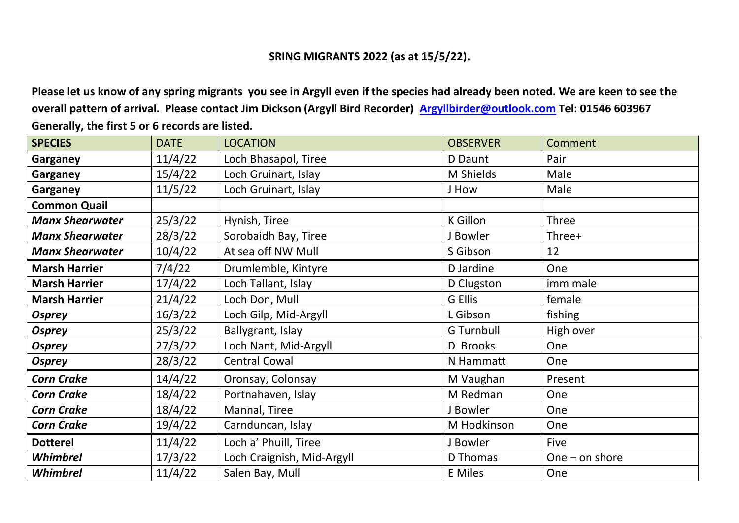## **SRING MIGRANTS 2022 (as at 15/5/22).**

**Please let us know of any spring migrants you see in Argyll even if the species had already been noted. We are keen to see the overall pattern of arrival. Please contact Jim Dickson (Argyll Bird Recorder) [Argyllbirder@outlook.com](mailto:Argyllbirder@outlook.com) Tel: 01546 603967 Generally, the first 5 or 6 records are listed.**

| <b>SPECIES</b>         | <b>DATE</b> | <b>LOCATION</b>            | <b>OBSERVER</b>   | Comment          |
|------------------------|-------------|----------------------------|-------------------|------------------|
| Garganey               | 11/4/22     | Loch Bhasapol, Tiree       | D Daunt           | Pair             |
| Garganey               | 15/4/22     | Loch Gruinart, Islay       | M Shields         | Male             |
| Garganey               | 11/5/22     | Loch Gruinart, Islay       | J How             | Male             |
| <b>Common Quail</b>    |             |                            |                   |                  |
| <b>Manx Shearwater</b> | 25/3/22     | Hynish, Tiree              | K Gillon          | Three            |
| <b>Manx Shearwater</b> | 28/3/22     | Sorobaidh Bay, Tiree       | J Bowler          | Three+           |
| <b>Manx Shearwater</b> | 10/4/22     | At sea off NW Mull         | S Gibson          | 12               |
| <b>Marsh Harrier</b>   | 7/4/22      | Drumlemble, Kintyre        | D Jardine         | One              |
| <b>Marsh Harrier</b>   | 17/4/22     | Loch Tallant, Islay        | D Clugston        | imm male         |
| <b>Marsh Harrier</b>   | 21/4/22     | Loch Don, Mull             | G Ellis           | female           |
| <b>Osprey</b>          | 16/3/22     | Loch Gilp, Mid-Argyll      | L Gibson          | fishing          |
| <b>Osprey</b>          | 25/3/22     | Ballygrant, Islay          | <b>G</b> Turnbull | High over        |
| <b>Osprey</b>          | 27/3/22     | Loch Nant, Mid-Argyll      | D Brooks          | One              |
| <b>Osprey</b>          | 28/3/22     | <b>Central Cowal</b>       | N Hammatt         | One              |
| <b>Corn Crake</b>      | 14/4/22     | Oronsay, Colonsay          | M Vaughan         | Present          |
| <b>Corn Crake</b>      | 18/4/22     | Portnahaven, Islay         | M Redman          | One              |
| <b>Corn Crake</b>      | 18/4/22     | Mannal, Tiree              | J Bowler          | One              |
| <b>Corn Crake</b>      | 19/4/22     | Carnduncan, Islay          | M Hodkinson       | One              |
| <b>Dotterel</b>        | 11/4/22     | Loch a' Phuill, Tiree      | J Bowler          | Five             |
| Whimbrel               | 17/3/22     | Loch Craignish, Mid-Argyll | D Thomas          | One $-$ on shore |
| Whimbrel               | 11/4/22     | Salen Bay, Mull            | <b>E</b> Miles    | One              |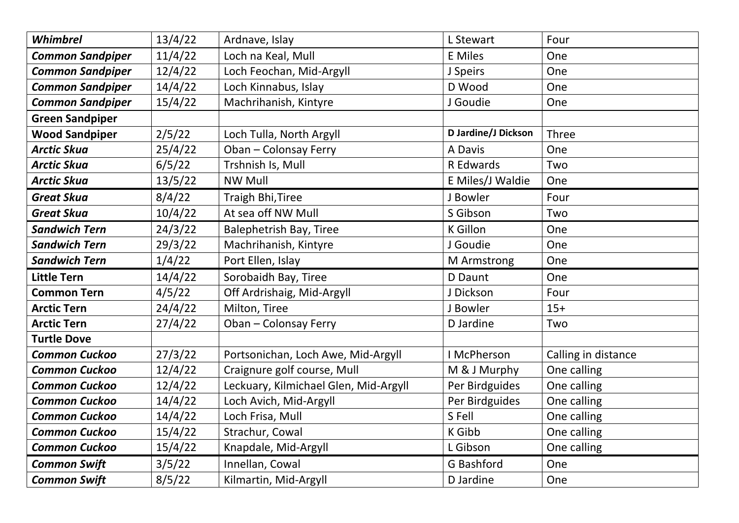| Whimbrel                | 13/4/22 | Ardnave, Islay                        | L Stewart           | Four                |
|-------------------------|---------|---------------------------------------|---------------------|---------------------|
| <b>Common Sandpiper</b> | 11/4/22 | Loch na Keal, Mull                    | <b>E</b> Miles      | One                 |
| <b>Common Sandpiper</b> | 12/4/22 | Loch Feochan, Mid-Argyll              | J Speirs            | One                 |
| <b>Common Sandpiper</b> | 14/4/22 | Loch Kinnabus, Islay                  | D Wood              | One                 |
| <b>Common Sandpiper</b> | 15/4/22 | Machrihanish, Kintyre                 | J Goudie            | One                 |
| <b>Green Sandpiper</b>  |         |                                       |                     |                     |
| <b>Wood Sandpiper</b>   | 2/5/22  | Loch Tulla, North Argyll              | D Jardine/J Dickson | <b>Three</b>        |
| <b>Arctic Skua</b>      | 25/4/22 | Oban - Colonsay Ferry                 | A Davis             | One                 |
| <b>Arctic Skua</b>      | 6/5/22  | Trshnish Is, Mull                     | R Edwards           | Two                 |
| <b>Arctic Skua</b>      | 13/5/22 | <b>NW Mull</b>                        | E Miles/J Waldie    | One                 |
| <b>Great Skua</b>       | 8/4/22  | <b>Traigh Bhi, Tiree</b>              | J Bowler            | Four                |
| <b>Great Skua</b>       | 10/4/22 | At sea off NW Mull                    | S Gibson            | Two                 |
| <b>Sandwich Tern</b>    | 24/3/22 | <b>Balephetrish Bay, Tiree</b>        | <b>K</b> Gillon     | One                 |
| <b>Sandwich Tern</b>    | 29/3/22 | Machrihanish, Kintyre                 | J Goudie            | One                 |
| <b>Sandwich Tern</b>    | 1/4/22  | Port Ellen, Islay                     | M Armstrong         | One                 |
| <b>Little Tern</b>      | 14/4/22 | Sorobaidh Bay, Tiree                  | D Daunt             | One                 |
| <b>Common Tern</b>      | 4/5/22  | Off Ardrishaig, Mid-Argyll            | J Dickson           | Four                |
| <b>Arctic Tern</b>      | 24/4/22 | Milton, Tiree                         | J Bowler            | $15+$               |
| <b>Arctic Tern</b>      | 27/4/22 | Oban - Colonsay Ferry                 | D Jardine           | Two                 |
| <b>Turtle Dove</b>      |         |                                       |                     |                     |
| <b>Common Cuckoo</b>    | 27/3/22 | Portsonichan, Loch Awe, Mid-Argyll    | I McPherson         | Calling in distance |
| <b>Common Cuckoo</b>    | 12/4/22 | Craignure golf course, Mull           | M & J Murphy        | One calling         |
| <b>Common Cuckoo</b>    | 12/4/22 | Leckuary, Kilmichael Glen, Mid-Argyll | Per Birdguides      | One calling         |
| <b>Common Cuckoo</b>    | 14/4/22 | Loch Avich, Mid-Argyll                | Per Birdguides      | One calling         |
| <b>Common Cuckoo</b>    | 14/4/22 | Loch Frisa, Mull                      | S Fell              | One calling         |
| <b>Common Cuckoo</b>    | 15/4/22 | Strachur, Cowal                       | K Gibb              | One calling         |
| <b>Common Cuckoo</b>    | 15/4/22 | Knapdale, Mid-Argyll                  | L Gibson            | One calling         |
| <b>Common Swift</b>     | 3/5/22  | Innellan, Cowal                       | G Bashford          | One                 |
| <b>Common Swift</b>     | 8/5/22  | Kilmartin, Mid-Argyll                 | D Jardine           | One                 |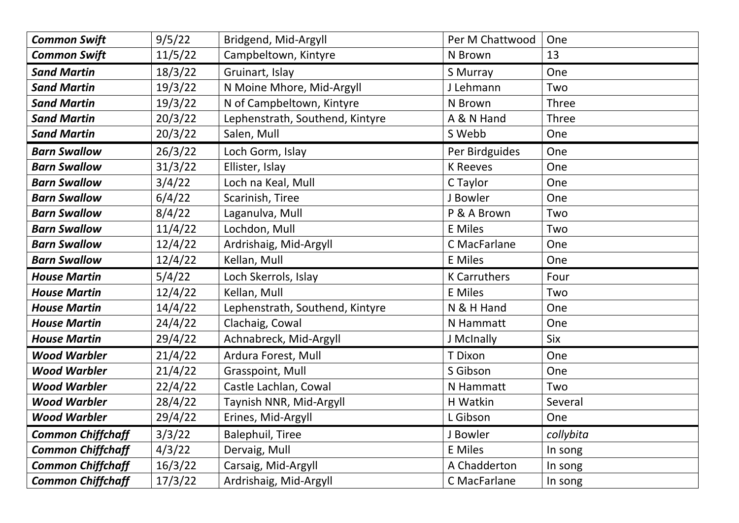| <b>Common Swift</b>      | 9/5/22  | Bridgend, Mid-Argyll            | Per M Chattwood     | One          |
|--------------------------|---------|---------------------------------|---------------------|--------------|
| <b>Common Swift</b>      | 11/5/22 | Campbeltown, Kintyre            | N Brown             | 13           |
| <b>Sand Martin</b>       | 18/3/22 | Gruinart, Islay                 | S Murray            | One          |
| <b>Sand Martin</b>       | 19/3/22 | N Moine Mhore, Mid-Argyll       | J Lehmann           | Two          |
| <b>Sand Martin</b>       | 19/3/22 | N of Campbeltown, Kintyre       | N Brown             | Three        |
| <b>Sand Martin</b>       | 20/3/22 | Lephenstrath, Southend, Kintyre | A & N Hand          | <b>Three</b> |
| <b>Sand Martin</b>       | 20/3/22 | Salen, Mull                     | S Webb              | One          |
| <b>Barn Swallow</b>      | 26/3/22 | Loch Gorm, Islay                | Per Birdguides      | One          |
| <b>Barn Swallow</b>      | 31/3/22 | Ellister, Islay                 | <b>K</b> Reeves     | One          |
| <b>Barn Swallow</b>      | 3/4/22  | Loch na Keal, Mull              | C Taylor            | One          |
| <b>Barn Swallow</b>      | 6/4/22  | Scarinish, Tiree                | J Bowler            | One          |
| <b>Barn Swallow</b>      | 8/4/22  | Laganulva, Mull                 | P & A Brown         | Two          |
| <b>Barn Swallow</b>      | 11/4/22 | Lochdon, Mull                   | <b>E</b> Miles      | Two          |
| <b>Barn Swallow</b>      | 12/4/22 | Ardrishaig, Mid-Argyll          | C MacFarlane        | One          |
| <b>Barn Swallow</b>      | 12/4/22 | Kellan, Mull                    | <b>E</b> Miles      | One          |
| <b>House Martin</b>      | 5/4/22  | Loch Skerrols, Islay            | <b>K</b> Carruthers | Four         |
| <b>House Martin</b>      | 12/4/22 | Kellan, Mull                    | <b>E</b> Miles      | Two          |
| <b>House Martin</b>      | 14/4/22 | Lephenstrath, Southend, Kintyre | N & H Hand          | One          |
| <b>House Martin</b>      | 24/4/22 | Clachaig, Cowal                 | N Hammatt           | One          |
| <b>House Martin</b>      | 29/4/22 | Achnabreck, Mid-Argyll          | J McInally          | Six          |
| <b>Wood Warbler</b>      | 21/4/22 | Ardura Forest, Mull             | T Dixon             | One          |
| <b>Wood Warbler</b>      | 21/4/22 | Grasspoint, Mull                | S Gibson            | One          |
| <b>Wood Warbler</b>      | 22/4/22 | Castle Lachlan, Cowal           | N Hammatt           | Two          |
| <b>Wood Warbler</b>      | 28/4/22 | Taynish NNR, Mid-Argyll         | H Watkin            | Several      |
| <b>Wood Warbler</b>      | 29/4/22 | Erines, Mid-Argyll              | L Gibson            | One          |
| <b>Common Chiffchaff</b> | 3/3/22  | <b>Balephuil, Tiree</b>         | J Bowler            | collybita    |
| <b>Common Chiffchaff</b> | 4/3/22  | Dervaig, Mull                   | <b>E</b> Miles      | In song      |
| <b>Common Chiffchaff</b> | 16/3/22 | Carsaig, Mid-Argyll             | A Chadderton        | In song      |
| <b>Common Chiffchaff</b> | 17/3/22 | Ardrishaig, Mid-Argyll          | C MacFarlane        | In song      |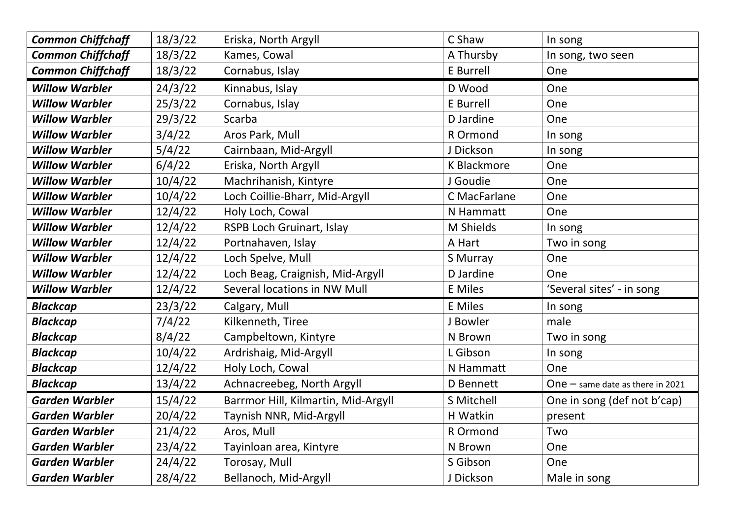| <b>Common Chiffchaff</b> | 18/3/22 | Eriska, North Argyll                | C Shaw            | In song                            |
|--------------------------|---------|-------------------------------------|-------------------|------------------------------------|
| <b>Common Chiffchaff</b> | 18/3/22 | Kames, Cowal                        | A Thursby         | In song, two seen                  |
| <b>Common Chiffchaff</b> | 18/3/22 | Cornabus, Islay                     | E Burrell         | One                                |
| <b>Willow Warbler</b>    | 24/3/22 | Kinnabus, Islay                     | D Wood            | One                                |
| <b>Willow Warbler</b>    | 25/3/22 | Cornabus, Islay                     | E Burrell         | One                                |
| <b>Willow Warbler</b>    | 29/3/22 | Scarba                              | D Jardine         | One                                |
| <b>Willow Warbler</b>    | 3/4/22  | Aros Park, Mull                     | R Ormond          | In song                            |
| <b>Willow Warbler</b>    | 5/4/22  | Cairnbaan, Mid-Argyll               | J Dickson         | In song                            |
| <b>Willow Warbler</b>    | 6/4/22  | Eriska, North Argyll                | K Blackmore       | One                                |
| <b>Willow Warbler</b>    | 10/4/22 | Machrihanish, Kintyre               | J Goudie          | One                                |
| <b>Willow Warbler</b>    | 10/4/22 | Loch Coillie-Bharr, Mid-Argyll      | C MacFarlane      | One                                |
| <b>Willow Warbler</b>    | 12/4/22 | Holy Loch, Cowal                    | N Hammatt         | One                                |
| <b>Willow Warbler</b>    | 12/4/22 | RSPB Loch Gruinart, Islay           | M Shields         | In song                            |
| <b>Willow Warbler</b>    | 12/4/22 | Portnahaven, Islay                  | A Hart            | Two in song                        |
| <b>Willow Warbler</b>    | 12/4/22 | Loch Spelve, Mull                   | S Murray          | One                                |
| <b>Willow Warbler</b>    | 12/4/22 | Loch Beag, Craignish, Mid-Argyll    | D Jardine         | One                                |
| <b>Willow Warbler</b>    | 12/4/22 | Several locations in NW Mull        | <b>E</b> Miles    | 'Several sites' - in song          |
| <b>Blackcap</b>          | 23/3/22 | Calgary, Mull                       | <b>E</b> Miles    | In song                            |
| <b>Blackcap</b>          | 7/4/22  | Kilkenneth, Tiree                   | J Bowler          | male                               |
| <b>Blackcap</b>          | 8/4/22  | Campbeltown, Kintyre                | N Brown           | Two in song                        |
| <b>Blackcap</b>          | 10/4/22 | Ardrishaig, Mid-Argyll              | L Gibson          | In song                            |
| <b>Blackcap</b>          | 12/4/22 | Holy Loch, Cowal                    | N Hammatt         | One                                |
| <b>Blackcap</b>          | 13/4/22 | Achnacreebeg, North Argyll          | D Bennett         | One $-$ same date as there in 2021 |
| <b>Garden Warbler</b>    | 15/4/22 | Barrmor Hill, Kilmartin, Mid-Argyll | <b>S Mitchell</b> | One in song (def not b'cap)        |
| <b>Garden Warbler</b>    | 20/4/22 | Taynish NNR, Mid-Argyll             | H Watkin          | present                            |
| <b>Garden Warbler</b>    | 21/4/22 | Aros, Mull                          | R Ormond          | Two                                |
| <b>Garden Warbler</b>    | 23/4/22 | Tayinloan area, Kintyre             | N Brown           | One                                |
| <b>Garden Warbler</b>    | 24/4/22 | Torosay, Mull                       | S Gibson          | One                                |
| <b>Garden Warbler</b>    | 28/4/22 | Bellanoch, Mid-Argyll               | J Dickson         | Male in song                       |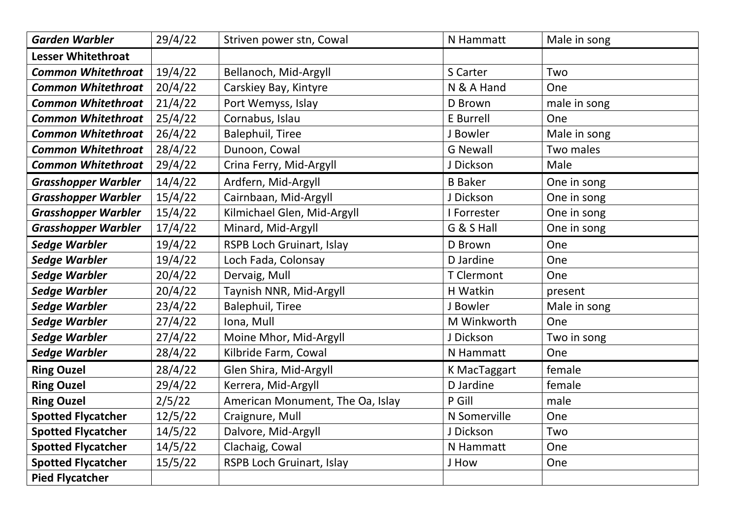| <b>Garden Warbler</b>      | 29/4/22 | Striven power stn, Cowal         | N Hammatt           | Male in song |
|----------------------------|---------|----------------------------------|---------------------|--------------|
| <b>Lesser Whitethroat</b>  |         |                                  |                     |              |
| <b>Common Whitethroat</b>  | 19/4/22 | Bellanoch, Mid-Argyll            | S Carter            | Two          |
| <b>Common Whitethroat</b>  | 20/4/22 | Carskiey Bay, Kintyre            | N & A Hand          | One          |
| <b>Common Whitethroat</b>  | 21/4/22 | Port Wemyss, Islay               | D Brown             | male in song |
| <b>Common Whitethroat</b>  | 25/4/22 | Cornabus, Islau                  | E Burrell           | One          |
| <b>Common Whitethroat</b>  | 26/4/22 | <b>Balephuil, Tiree</b>          | J Bowler            | Male in song |
| <b>Common Whitethroat</b>  | 28/4/22 | Dunoon, Cowal                    | <b>G Newall</b>     | Two males    |
| <b>Common Whitethroat</b>  | 29/4/22 | Crina Ferry, Mid-Argyll          | J Dickson           | Male         |
| <b>Grasshopper Warbler</b> | 14/4/22 | Ardfern, Mid-Argyll              | <b>B</b> Baker      | One in song  |
| <b>Grasshopper Warbler</b> | 15/4/22 | Cairnbaan, Mid-Argyll            | J Dickson           | One in song  |
| <b>Grasshopper Warbler</b> | 15/4/22 | Kilmichael Glen, Mid-Argyll      | I Forrester         | One in song  |
| <b>Grasshopper Warbler</b> | 17/4/22 | Minard, Mid-Argyll               | G & S Hall          | One in song  |
| <b>Sedge Warbler</b>       | 19/4/22 | <b>RSPB Loch Gruinart, Islay</b> | D Brown             | One          |
| <b>Sedge Warbler</b>       | 19/4/22 | Loch Fada, Colonsay              | D Jardine           | One          |
| <b>Sedge Warbler</b>       | 20/4/22 | Dervaig, Mull                    | <b>T</b> Clermont   | One          |
| <b>Sedge Warbler</b>       | 20/4/22 | Taynish NNR, Mid-Argyll          | H Watkin            | present      |
| <b>Sedge Warbler</b>       | 23/4/22 | <b>Balephuil, Tiree</b>          | J Bowler            | Male in song |
| <b>Sedge Warbler</b>       | 27/4/22 | Iona, Mull                       | M Winkworth         | One          |
| <b>Sedge Warbler</b>       | 27/4/22 | Moine Mhor, Mid-Argyll           | J Dickson           | Two in song  |
| <b>Sedge Warbler</b>       | 28/4/22 | Kilbride Farm, Cowal             | N Hammatt           | One          |
| <b>Ring Ouzel</b>          | 28/4/22 | Glen Shira, Mid-Argyll           | <b>K MacTaggart</b> | female       |
| <b>Ring Ouzel</b>          | 29/4/22 | Kerrera, Mid-Argyll              | D Jardine           | female       |
| <b>Ring Ouzel</b>          | 2/5/22  | American Monument, The Oa, Islay | P Gill              | male         |
| <b>Spotted Flycatcher</b>  | 12/5/22 | Craignure, Mull                  | N Somerville        | One          |
| <b>Spotted Flycatcher</b>  | 14/5/22 | Dalvore, Mid-Argyll              | J Dickson           | Two          |
| <b>Spotted Flycatcher</b>  | 14/5/22 | Clachaig, Cowal                  | N Hammatt           | One          |
| <b>Spotted Flycatcher</b>  | 15/5/22 | RSPB Loch Gruinart, Islay        | J How               | One          |
| <b>Pied Flycatcher</b>     |         |                                  |                     |              |